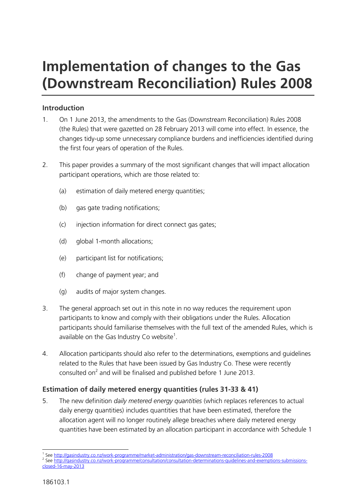# **Implementation of changes to the Gas (Downstream Reconciliation) Rules 2008**

### **Introduction**

- 1. On 1 June 2013, the amendments to the Gas (Downstream Reconciliation) Rules 2008 (the Rules) that were gazetted on 28 February 2013 will come into effect. In essence, the changes tidy-up some unnecessary compliance burdens and inefficiencies identified during the first four years of operation of the Rules.
- 2. This paper provides a summary of the most significant changes that will impact allocation participant operations, which are those related to:
	- (a) estimation of daily metered energy quantities;
	- (b) gas gate trading notifications;
	- (c) injection information for direct connect gas gates;
	- (d) global 1-month allocations;
	- (e) participant list for notifications;
	- (f) change of payment year; and
	- (g) audits of major system changes.
- 3. The general approach set out in this note in no way reduces the requirement upon participants to know and comply with their obligations under the Rules. Allocation participants should familiarise themselves with the full text of the amended Rules, which is available on the Gas Industry Co website<sup>1</sup>.
- 4. Allocation participants should also refer to the determinations, exemptions and guidelines related to the Rules that have been issued by Gas Industry Co. These were recently consulted on<sup>2</sup> and will be finalised and published before 1 June 2013.

### **Estimation of daily metered energy quantities (rules 31-33 & 41)**

5. The new definition *daily metered energy quantities* (which replaces references to actual daily energy quantities) includes quantities that have been estimated, therefore the allocation agent will no longer routinely allege breaches where daily metered energy quantities have been estimated by an allocation participant in accordance with Schedule 1

 1 Se[e http://gasindustry.co.nz/work-programme/market-administration/gas-downstream-reconciliation-rules-2008](http://gasindustry.co.nz/work-programme/market-administration/gas-downstream-reconciliation-rules-2008)

<sup>&</sup>lt;sup>2</sup> Se[e http://gasindustry.co.nz/work-programme/consultation/consultation-determinations-guidelines-and-exemptions-submissions](http://gasindustry.co.nz/work-programme/consultation/consultation-determinations-guidelines-and-exemptions-submissions-closed-16-may-2013)[closed-16-may-2013](http://gasindustry.co.nz/work-programme/consultation/consultation-determinations-guidelines-and-exemptions-submissions-closed-16-may-2013)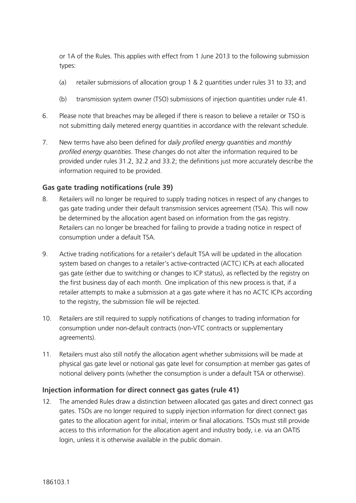or 1A of the Rules. This applies with effect from 1 June 2013 to the following submission types:

- (a) retailer submissions of allocation group 1 & 2 quantities under rules 31 to 33; and
- (b) transmission system owner (TSO) submissions of injection quantities under rule 41.
- 6. Please note that breaches may be alleged if there is reason to believe a retailer or TSO is not submitting daily metered energy quantities in accordance with the relevant schedule.
- 7. New terms have also been defined for *daily profiled energy quantities* and *monthly profiled energy quantities*. These changes do not alter the information required to be provided under rules 31.2, 32.2 and 33.2; the definitions just more accurately describe the information required to be provided.

### **Gas gate trading notifications (rule 39)**

- 8. Retailers will no longer be required to supply trading notices in respect of any changes to gas gate trading under their default transmission services agreement (TSA). This will now be determined by the allocation agent based on information from the gas registry. Retailers can no longer be breached for failing to provide a trading notice in respect of consumption under a default TSA.
- 9. Active trading notifications for a retailer's default TSA will be updated in the allocation system based on changes to a retailer's active-contracted (ACTC) ICPs at each allocated gas gate (either due to switching or changes to ICP status), as reflected by the registry on the first business day of each month. One implication of this new process is that, if a retailer attempts to make a submission at a gas gate where it has no ACTC ICPs according to the registry, the submission file will be rejected.
- 10. Retailers are still required to supply notifications of changes to trading information for consumption under non-default contracts (non-VTC contracts or supplementary agreements).
- 11. Retailers must also still notify the allocation agent whether submissions will be made at physical gas gate level or notional gas gate level for consumption at member gas gates of notional delivery points (whether the consumption is under a default TSA or otherwise).

### **Injection information for direct connect gas gates (rule 41)**

12. The amended Rules draw a distinction between allocated gas gates and direct connect gas gates. TSOs are no longer required to supply injection information for direct connect gas gates to the allocation agent for initial, interim or final allocations. TSOs must still provide access to this information for the allocation agent and industry body, i.e. via an OATIS login, unless it is otherwise available in the public domain.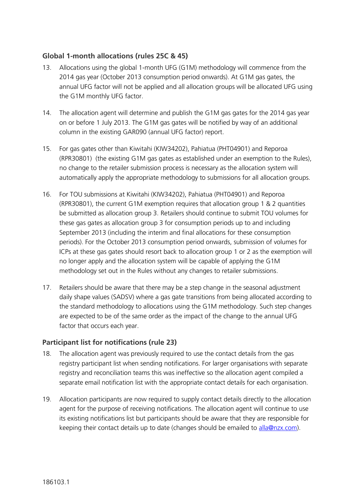### **Global 1-month allocations (rules 25C & 45)**

- 13. Allocations using the global 1-month UFG (G1M) methodology will commence from the 2014 gas year (October 2013 consumption period onwards). At G1M gas gates, the annual UFG factor will not be applied and all allocation groups will be allocated UFG using the G1M monthly UFG factor.
- 14. The allocation agent will determine and publish the G1M gas gates for the 2014 gas year on or before 1 July 2013. The G1M gas gates will be notified by way of an additional column in the existing GAR090 (annual UFG factor) report.
- 15. For gas gates other than Kiwitahi (KIW34202), Pahiatua (PHT04901) and Reporoa (RPR30801) (the existing G1M gas gates as established under an exemption to the Rules), no change to the retailer submission process is necessary as the allocation system will automatically apply the appropriate methodology to submissions for all allocation groups.
- 16. For TOU submissions at Kiwitahi (KIW34202), Pahiatua (PHT04901) and Reporoa (RPR30801), the current G1M exemption requires that allocation group 1 & 2 quantities be submitted as allocation group 3. Retailers should continue to submit TOU volumes for these gas gates as allocation group 3 for consumption periods up to and including September 2013 (including the interim and final allocations for these consumption periods). For the October 2013 consumption period onwards, submission of volumes for ICPs at these gas gates should resort back to allocation group 1 or 2 as the exemption will no longer apply and the allocation system will be capable of applying the G1M methodology set out in the Rules without any changes to retailer submissions.
- 17. Retailers should be aware that there may be a step change in the seasonal adjustment daily shape values (SADSV) where a gas gate transitions from being allocated according to the standard methodology to allocations using the G1M methodology. Such step changes are expected to be of the same order as the impact of the change to the annual UFG factor that occurs each year.

### **Participant list for notifications (rule 23)**

- 18. The allocation agent was previously required to use the contact details from the gas registry participant list when sending notifications. For larger organisations with separate registry and reconciliation teams this was ineffective so the allocation agent compiled a separate email notification list with the appropriate contact details for each organisation.
- 19. Allocation participants are now required to supply contact details directly to the allocation agent for the purpose of receiving notifications. The allocation agent will continue to use its existing notifications list but participants should be aware that they are responsible for keeping their contact details up to date (changes should be emailed to [alla@nzx.com\)](mailto:alla@nzx.com).